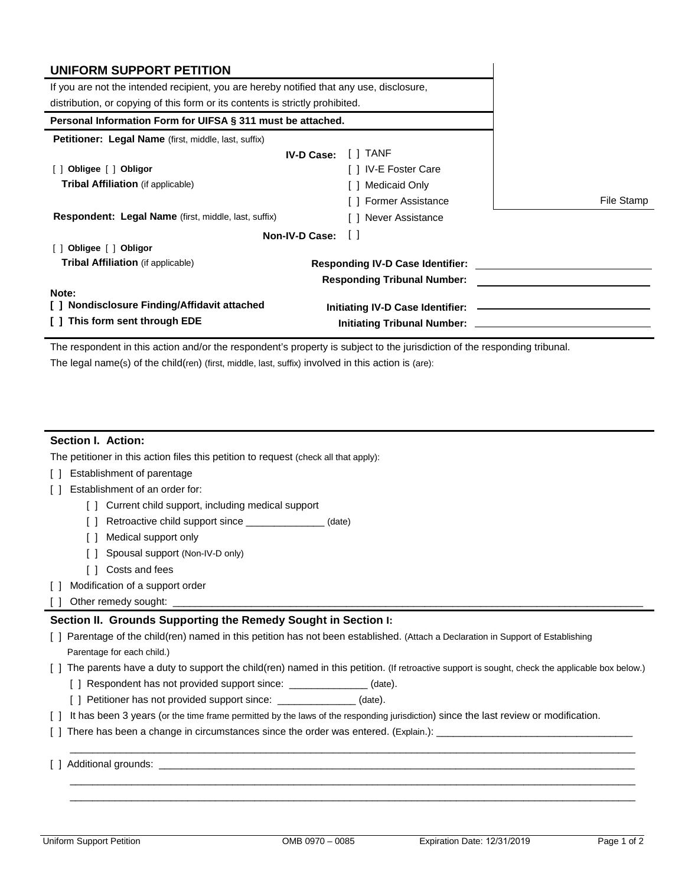| UNIFORM SUPPORT PETITION                                                                 |                                         |            |
|------------------------------------------------------------------------------------------|-----------------------------------------|------------|
| If you are not the intended recipient, you are hereby notified that any use, disclosure, |                                         |            |
| distribution, or copying of this form or its contents is strictly prohibited.            |                                         |            |
| Personal Information Form for UIFSA § 311 must be attached.                              |                                         |            |
| Petitioner: Legal Name (first, middle, last, suffix)                                     |                                         |            |
| <b>IV-D Case:</b>                                                                        | [ ] TANF                                |            |
| [ ] Obligee [ ] Obligor                                                                  | [ ] IV-E Foster Care                    |            |
| <b>Tribal Affiliation</b> (if applicable)                                                | Medicaid Only                           |            |
|                                                                                          | <b>Former Assistance</b>                | File Stamp |
| Respondent: Legal Name (first, middle, last, suffix)                                     | [ ] Never Assistance                    |            |
| Non-IV-D Case:                                                                           | $\Box$                                  |            |
| [ ] Obligee [ ] Obligor                                                                  |                                         |            |
| <b>Tribal Affiliation</b> (if applicable)                                                | <b>Responding IV-D Case Identifier:</b> |            |
|                                                                                          | <b>Responding Tribunal Number:</b>      |            |
| Note:                                                                                    |                                         |            |
| [] Nondisclosure Finding/Affidavit attached                                              |                                         |            |
| [ ] This form sent through EDE                                                           |                                         |            |

 The legal name(s) of the child(ren) (first, middle, last, suffix) involved in this action is (are): The respondent in this action and/or the respondent's property is subject to the jurisdiction of the responding tribunal.

## **Section I. Action:**

The petitioner in this action files this petition to request (check all that apply):

- [ ] Establishment of parentage
- [ ] Establishment of an order for:
	- [ ] Current child support, including medical support
	- [ ] Retroactive child support since \_\_\_\_\_\_\_\_\_\_\_\_\_\_ (date)
	- [ ] Medical support only
	- [ ] Spousal support (Non-IV-D only)
	- [ ] Costs and fees
- [ ] Modification of a support order
- [ ] Other remedy sought: \_\_\_\_\_\_\_\_\_\_\_\_\_\_\_\_\_\_\_\_\_\_\_\_\_\_\_\_\_\_\_\_\_\_\_\_\_\_\_\_\_\_\_\_\_\_\_\_\_\_\_\_\_\_\_\_\_\_\_\_\_\_\_\_\_\_\_\_\_\_\_\_\_\_\_\_\_\_\_\_\_\_\_\_

## **Section II. Grounds Supporting the Remedy Sought in Section I:**

- [ ] Parentage of the child(ren) named in this petition has not been established. (Attach a Declaration in Support of Establishing Parentage for each child.)
- [ ] The parents have a duty to support the child(ren) named in this petition. (If retroactive support is sought, check the applicable box below.)

 $\mathcal{L}=\{1,2,3,4,5,6,7,10\}$ 

 \_\_\_\_\_\_\_\_\_\_\_\_\_\_\_\_\_\_\_\_\_\_\_\_\_\_\_\_\_\_\_\_\_\_\_\_\_\_\_\_\_\_\_\_\_\_\_\_\_\_\_\_\_\_\_\_\_\_\_\_\_\_\_\_\_\_\_\_\_\_\_\_\_\_\_\_\_\_\_\_\_\_\_\_\_\_\_\_\_\_\_\_\_\_\_\_\_\_\_\_\_  $\mathcal{L}=\{1,2,3,4,5,6,7,10\}$ 

- [] Respondent has not provided support since: \_\_\_\_\_\_\_\_\_\_\_\_\_\_\_ (date).
- [] Petitioner has not provided support since: \_\_\_\_\_\_\_\_\_\_\_\_\_\_(date).
- [ ] It has been 3 years (or the time frame permitted by the laws of the responding jurisdiction) since the last review or modification.
- [ ] There has been a change in circumstances since the order was entered. (Explain.): \_\_\_\_\_\_\_\_\_\_\_\_\_\_\_\_\_\_\_\_\_\_\_\_\_\_\_\_\_\_\_\_\_\_\_
- [ ] Additional grounds: \_\_\_\_\_\_

l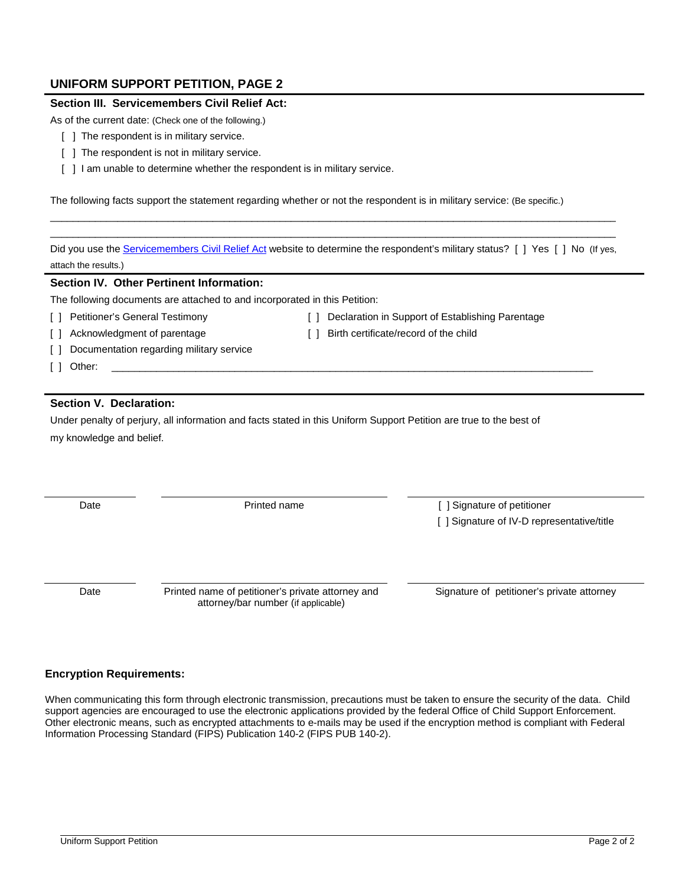# **UNIFORM SUPPORT PETITION, PAGE 2**

## **Section III. Servicemembers Civil Relief Act:**

As of the current date: (Check one of the following.)

- [ ] The respondent is in military service.
- [ ] The respondent is not in military service.
- [  $\parallel$  ] I am unable to determine whether the respondent is in military service.

The following facts support the statement regarding whether or not the respondent is in military service: (Be specific.)

Did you use the <u>Servicemembers Civil Relief Act</u> website to determine the respondent's military status? [] Yes []No (lf yes, attach the results.)

\_\_\_\_\_\_\_\_\_\_\_\_\_\_\_\_\_\_\_\_\_\_\_\_\_\_\_\_\_\_\_\_\_\_\_\_\_\_\_\_\_\_\_\_\_\_\_\_\_\_\_\_\_\_\_\_\_\_\_\_\_\_\_\_\_\_\_\_\_\_\_\_\_\_\_\_\_\_\_\_\_\_\_\_\_\_\_\_\_\_\_\_\_\_\_\_\_\_\_\_\_ \_\_\_\_\_\_\_\_\_\_\_\_\_\_\_\_\_\_\_\_\_\_\_\_\_\_\_\_\_\_\_\_\_\_\_\_\_\_\_\_\_\_\_\_\_\_\_\_\_\_\_\_\_\_\_\_\_\_\_\_\_\_\_\_\_\_\_\_\_\_\_\_\_\_\_\_\_\_\_\_\_\_\_\_\_\_\_\_\_\_\_\_\_\_\_\_\_\_\_\_\_

### **Section IV. Other Pertinent Information:**

The following documents are attached to and incorporated in this Petition:

[ ] Petitioner's General Testimony [ ] Declaration in Support of Establishing Parentage

- [ ] Acknowledgment of parentage [ ] Birth certificate/record of the child
- 
- [ ] Documentation regarding military service
- [ ] Other: \_\_\_\_\_\_\_\_\_\_\_\_\_\_\_\_\_\_\_\_\_\_\_\_\_\_\_\_\_\_\_\_\_\_\_\_\_\_\_\_\_\_\_\_\_\_\_\_\_\_\_\_\_\_\_\_\_\_\_\_\_\_\_\_\_\_\_\_\_\_\_\_\_\_\_\_\_\_\_\_\_\_\_\_\_\_

# **Section V. Declaration:**

Under penalty of perjury, all information and facts stated in this Uniform Support Petition are true to the best of my knowledge and belief.

Date

Printed name **Example 2** | Signature of petitioner [ ] Signature of IV-D representative/title

Date

Printed name of petitioner's private attorney and Signature of petitioner's private attorney attorney/bar number (if applicable)

## **Encryption Requirements:**

support agencies are encouraged to use the electronic applications provided by the federal Office of Child Support Enforcement. When communicating this form through electronic transmission, precautions must be taken to ensure the security of the data. Child Other electronic means, such as encrypted attachments to e-mails may be used if the encryption method is compliant with Federal Information Processing Standard (FIPS) Publication 140-2 (FIPS PUB 140-2).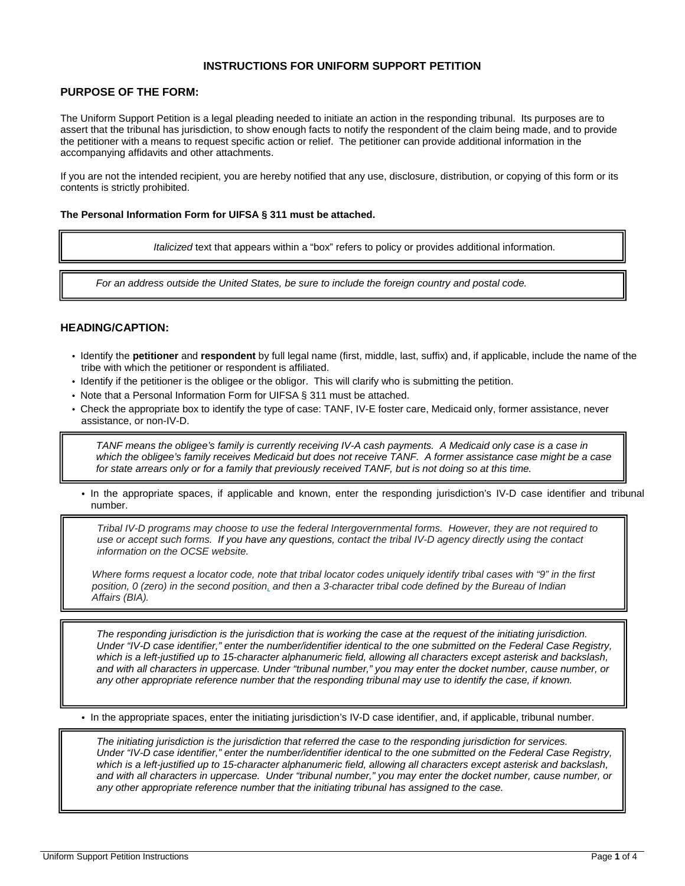## **INSTRUCTIONS FOR UNIFORM SUPPORT PETITION**

## **PURPOSE OF THE FORM:**

The Uniform Support Petition is a legal pleading needed to initiate an action in the responding tribunal. Its purposes are to assert that the tribunal has jurisdiction, to show enough facts to notify the respondent of the claim being made, and to provide the petitioner with a means to request specific action or relief. The petitioner can provide additional information in the accompanying affidavits and other attachments.

 If you are not the intended recipient, you are hereby notified that any use, disclosure, distribution, or copying of this form or its contents is strictly prohibited.

#### **The Personal Information Form for UIFSA § 311 must be attached.**

*Italicized* text that appears within a "box" refers to policy or provides additional information.

*For an address outside the United States, be sure to include the foreign country and postal code.* 

## **HEADING/CAPTION:**

- Identify the **petitioner** and **respondent** by full legal name (first, middle, last, suffix) and, if applicable, include the name of the tribe with which the petitioner or respondent is affiliated.
- Identify if the petitioner is the obligee or the obligor. This will clarify who is submitting the petition.
- Note that a Personal Information Form for UIFSA § 311 must be attached.
- • Check the appropriate box to identify the type of case: TANF, IV-E foster care, Medicaid only, former assistance, never assistance, or non-IV-D.

 *which the obligee's family receives Medicaid but does not receive TANF. A former assistance case might be a case for state arrears only or for a family that previously received TANF, but is not doing so at this time. TANF means the obligee's family is currently receiving IV-A cash payments. A Medicaid only case is a case in* 

**•** In the appropriate spaces, if applicable and known, enter the responding jurisdiction's IV-D case identifier and tribunal number.

*Tribal IV-D programs may choose to use the federal Intergovernmental forms. However, they are not required to use or accept such forms. If you have any questions, contact the tribal IV-D agency directly using the contact information on the OCSE website.* 

 *position, 0 (zero) in the second position, and then a 3-character tribal code defined by the Bureau of Indian Where forms request a locator code, note that tribal locator codes uniquely identify tribal cases with "9" in the first Affairs (BIA).* 

The responding jurisdiction is the jurisdiction that is working the case at the request of the initiating jurisdiction. Under "IV-D case identifier," enter the number/identifier identical to the one submitted on the Federal Case Registry, *which is a left-justified up to 15-character alphanumeric field, allowing all characters except asterisk and backslash, and with all characters in uppercase. Under "tribunal number," you may enter the docket number, cause number, or*  any other appropriate reference number that the responding tribunal may use to identify the case, if known.

**•** In the appropriate spaces, enter the initiating jurisdiction's IV-D case identifier, and, if applicable, tribunal number.

 *and with all characters in uppercase. Under "tribunal number," you may enter the docket number, cause number, or The initiating jurisdiction is the jurisdiction that referred the case to the responding jurisdiction for services. Under "IV-D case identifier," enter the number/identifier identical to the one submitted on the Federal Case Registry, which is a left-justified up to 15-character alphanumeric field, allowing all characters except asterisk and backslash, any other appropriate reference number that the initiating tribunal has assigned to the case.*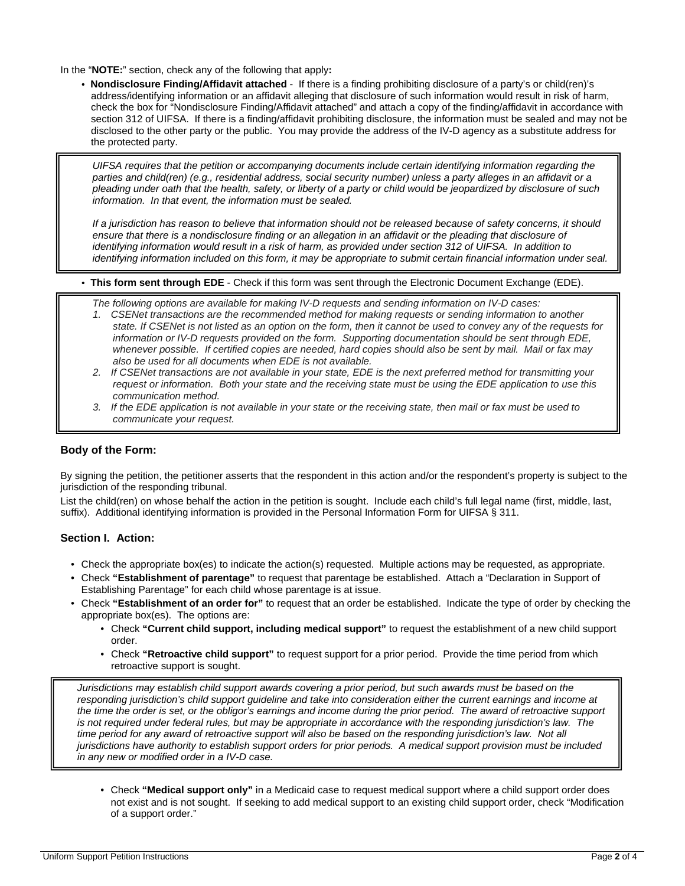In the "**NOTE:**" section, check any of the following that apply**:** 

 **• Nondisclosure Finding/Affidavit attached** - If there is a finding prohibiting disclosure of a party's or child(ren)'s section 312 of UIFSA. If there is a finding/affidavit prohibiting disclosure, the information must be sealed and may not be address/identifying information or an affidavit alleging that disclosure of such information would result in risk of harm, check the box for "Nondisclosure Finding/Affidavit attached" and attach a copy of the finding/affidavit in accordance with disclosed to the other party or the public. You may provide the address of the IV-D agency as a substitute address for the protected party.

 *pleading under oath that the health, safety, or liberty of a party or child would be jeopardized by disclosure of such information. In that event, the information must be sealed. UIFSA requires that the petition or accompanying documents include certain identifying information regarding the parties and child(ren) (e.g., residential address, social security number) unless a party alleges in an affidavit or a* 

 *If a jurisdiction has reason to believe that information should not be released because of safety concerns, it should ensure that there is a nondisclosure finding or an allegation in an affidavit or the pleading that disclosure of identifying information would result in a risk of harm, as provided under section 312 of UIFSA. In addition to identifying information included on this form, it may be appropriate to submit certain financial information under seal.* 

**• This form sent through EDE** - Check if this form was sent through the Electronic Document Exchange (EDE).

*The following options are available for making IV-D requests and sending information on IV-D cases:* 

- *1. CSENet transactions are the recommended method for making requests or sending information to another state. If CSENet is not listed as an option on the form, then it cannot be used to convey any of the requests for information or IV-D requests provided on the form. Supporting documentation should be sent through EDE, whenever possible. If certified copies are needed, hard copies should also be sent by mail. Mail or fax may also be used for all documents when EDE is not available.*
- *2. If CSENet transactions are not available in your state, EDE is the next preferred method for transmitting your request or information. Both your state and the receiving state must be using the EDE application to use this communication method.*
- *3. If the EDE application is not available in your state or the receiving state, then mail or fax must be used to communicate your request.*

## **Body of the Form:**

 By signing the petition, the petitioner asserts that the respondent in this action and/or the respondent's property is subject to the jurisdiction of the responding tribunal.

 suffix). Additional identifying information is provided in the Personal Information Form for UIFSA § 311. List the child(ren) on whose behalf the action in the petition is sought. Include each child's full legal name (first, middle, last,

## **Section I. Action:**

- Check the appropriate box(es) to indicate the action(s) requested. Multiple actions may be requested, as appropriate.
- • Check **"Establishment of parentage"** to request that parentage be established. Attach a "Declaration in Support of Establishing Parentage" for each child whose parentage is at issue.
- • Check **"Establishment of an order for"** to request that an order be established. Indicate the type of order by checking the appropriate box(es). The options are:
	- Check **"Current child support, including medical support"** to request the establishment of a new child support order.
	- • Check **"Retroactive child support"** to request support for a prior period. Provide the time period from which retroactive support is sought.

the time the order is set, or the obligor's earnings and income during the prior period. The award of retroactive support *Jurisdictions may establish child support awards covering a prior period, but such awards must be based on the responding jurisdiction's child support guideline and take into consideration either the current earnings and income at is not required under federal rules, but may be appropriate in accordance with the responding jurisdiction's law. The*  time period for any award of retroactive support will also be based on the responding jurisdiction's law. Not all *jurisdictions have authority to establish support orders for prior periods. A medical support provision must be included in any new or modified order in a IV-D case.* 

 • Check **"Medical support only"** in a Medicaid case to request medical support where a child support order does not exist and is not sought. If seeking to add medical support to an existing child support order, check "Modification of a support order."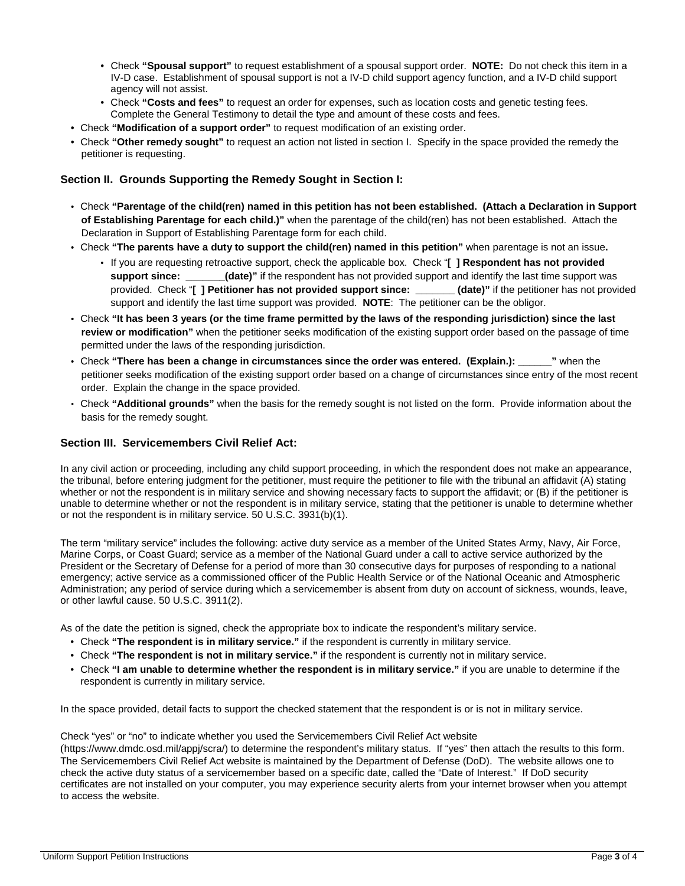- • Check **"Spousal support"** to request establishment of a spousal support order. **NOTE:** Do not check this item in a IV-D case. Establishment of spousal support is not a IV-D child support agency function, and a IV-D child support agency will not assist.
- • Check **"Costs and fees"** to request an order for expenses, such as location costs and genetic testing fees. Complete the General Testimony to detail the type and amount of these costs and fees.
- Check "Modification of a support order" to request modification of an existing order.
- • Check **"Modification of a support order"** to request modification of an existing order. Check **"Other remedy sought"** to request an action not listed in section I. Specify in the space provided the remedy the petitioner is requesting.

# **Section II. Grounds Supporting the Remedy Sought in Section I:**

- • Check **"Parentage of the child(ren) named in this petition has not been established. (Attach a Declaration in Support of Establishing Parentage for each child.)"** when the parentage of the child(ren) has not been established. Attach the Declaration in Support of Establishing Parentage form for each child.
- • Check **"The parents have a duty to support the child(ren) named in this petition"** when parentage is not an issue**.** 
	- support since:  provided. Check "**[ ] Petitioner has not provided support since: \_\_\_\_\_\_\_ (date)"** if the petitioner has not provided support and identify the last time support was provided. **NOTE**: The petitioner can be the obligor. • If you are requesting retroactive support, check the applicable box. Check "**[ ] Respondent has not provided (date)"** if the respondent has not provided support and identify the last time support was
- • Check **"It has been 3 years (or the time frame permitted by the laws of the responding jurisdiction) since the last review or modification"** when the petitioner seeks modification of the existing support order based on the passage of time permitted under the laws of the responding jurisdiction.
- petitioner seeks modification of the existing support order based on a change of circumstances since entry of the most recent  order. Explain the change in the space provided. • Check **"There has been a change in circumstances since the order was entered. (Explain.): \_\_\_\_\_\_"** when the
- • Check **"Additional grounds"** when the basis for the remedy sought is not listed on the form. Provide information about the basis for the remedy sought.

## **Section III. Servicemembers Civil Relief Act:**

 unable to determine whether or not the respondent is in military service, stating that the petitioner is unable to determine whether In any civil action or proceeding, including any child support proceeding, in which the respondent does not make an appearance, the tribunal, before entering judgment for the petitioner, must require the petitioner to file with the tribunal an affidavit (A) stating whether or not the respondent is in military service and showing necessary facts to support the affidavit; or (B) if the petitioner is or not the respondent is in military service. 50 U.S.C. 3931(b)(1).

 President or the Secretary of Defense for a period of more than 30 consecutive days for purposes of responding to a national or other lawful cause. 50 U.S.C. 3911(2). The term "military service" includes the following: active duty service as a member of the United States Army, Navy, Air Force, Marine Corps, or Coast Guard; service as a member of the National Guard under a call to active service authorized by the emergency; active service as a commissioned officer of the Public Health Service or of the National Oceanic and Atmospheric Administration; any period of service during which a servicemember is absent from duty on account of sickness, wounds, leave,

As of the date the petition is signed, check the appropriate box to indicate the respondent's military service.

- Check **"The respondent is in military service."** if the respondent is currently in military service.
- Check **"The respondent is not in military service."** if the respondent is currently not in military service.
- Check **"I am unable to determine whether the respondent is in military service."** if you are unable to determine if the respondent is currently in military service.

In the space provided, detail facts to support the checked statement that the respondent is or is not in military service.

Check "yes" or "no" to indicate whether you used the Servicemembers Civil Relief Act website

(https://www.dmdc.osd.mil/appj/scra/) to determine the respondent's military status. If "yes" then attach the results to this form. The Servicemembers Civil Relief Act website is maintained by the Department of Defense (DoD). The website allows one to check the active duty status of a servicemember based on a specific date, called the "Date of Interest." If DoD security certificates are not installed on your computer, you may experience security alerts from your internet browser when you attempt to access the website.